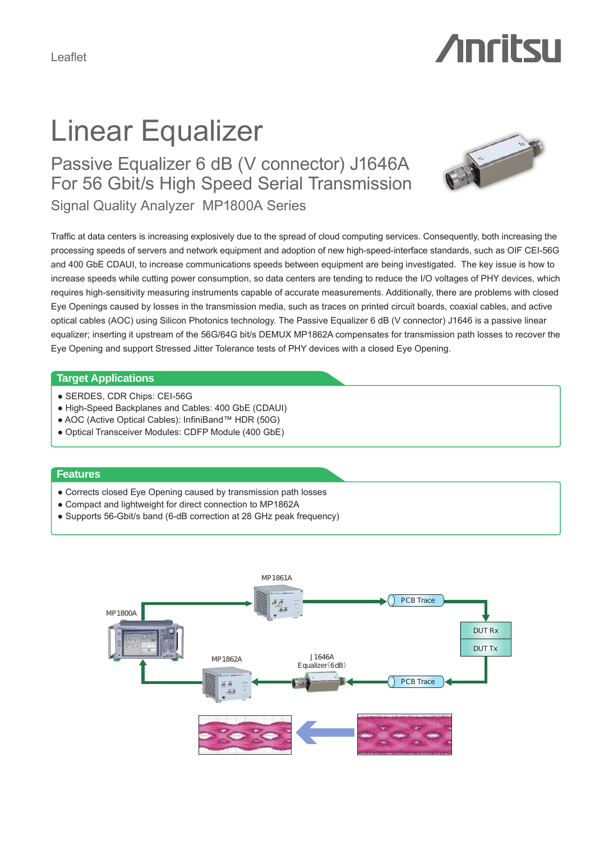# Linear Equalizer

Signal Quality Analyzer MP1800A Series Passive Equalizer 6 dB (V connector) J1646A For 56 Gbit/s High Speed Serial Transmission



**Anritsu** 

Traffic at data centers is increasing explosively due to the spread of cloud computing services. Consequently, both increasing the processing speeds of servers and network equipment and adoption of new high-speed-interface standards, such as OIF CEI-56G and 400 GbE CDAUI, to increase communications speeds between equipment are being investigated. The key issue is how to increase speeds while cutting power consumption, so data centers are tending to reduce the I/O voltages of PHY devices, which requires high-sensitivity measuring instruments capable of accurate measurements. Additionally, there are problems with closed Eye Openings caused by losses in the transmission media, such as traces on printed circuit boards, coaxial cables, and active optical cables (AOC) using Silicon Photonics technology. The Passive Equalizer 6 dB (V connector) J1646 is a passive linear equalizer; inserting it upstream of the 56G/64G bit/s DEMUX MP1862A compensates for transmission path losses to recover the Eye Opening and support Stressed Jitter Tolerance tests of PHY devices with a closed Eye Opening.

#### **Target Applications**

- SERDES, CDR Chips: CEI-56G
- High-Speed Backplanes and Cables: 400 GbE (CDAUI)
- AOC (Active Optical Cables): InfiniBand™ HDR (50G)
- Optical Transceiver Modules: CDFP Module (400 GbE)

#### **Features**

- Corrects closed Eye Opening caused by transmission path losses
- Compact and lightweight for direct connection to MP1862A
- Supports 56-Gbit/s band (6-dB correction at 28 GHz peak frequency)